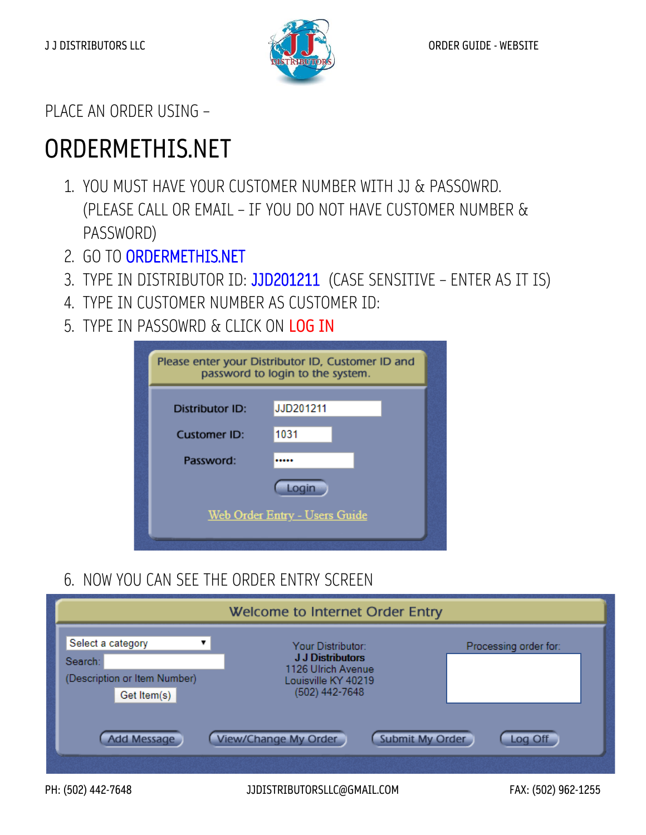

PLACE AN ORDER USING –

# ORDERMETHIS.NET

- 1. YOU MUST HAVE YOUR CUSTOMER NUMBER WITH JJ & PASSOWRD. (PLEASE CALL OR EMAIL – IF YOU DO NOT HAVE CUSTOMER NUMBER & PASSWORD)
- 2. GO TO ORDERMETHIS.NET
- 3. TYPE IN DISTRIBUTOR ID: JJD201211 (CASE SENSITIVE ENTER AS IT IS)
- 4. TYPE IN CUSTOMER NUMBER AS CUSTOMER ID:
- 5. TYPE IN PASSOWRD & CLICK ON LOG IN

|                     | Please enter your Distributor ID, Customer ID and<br>password to login to the system. |
|---------------------|---------------------------------------------------------------------------------------|
| Distributor ID:     | JJD201211                                                                             |
| <b>Customer ID:</b> | 1031                                                                                  |
| Password:           |                                                                                       |
|                     | Login                                                                                 |
|                     | <b>Web Order Entry - Users Guide</b>                                                  |

6. NOW YOU CAN SEE THE ORDER ENTRY SCREEN

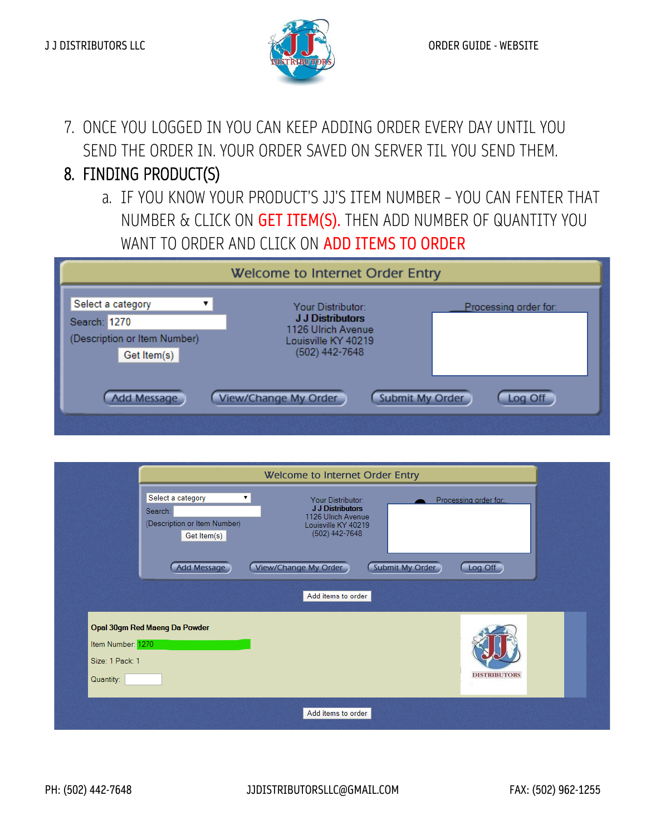

7. ONCE YOU LOGGED IN YOU CAN KEEP ADDING ORDER EVERY DAY UNTIL YOU SEND THE ORDER IN. YOUR ORDER SAVED ON SERVER TIL YOU SEND THEM.

# 8. FINDING PRODUCT(S)

a. IF YOU KNOW YOUR PRODUCT'S JJ'S ITEM NUMBER – YOU CAN FENTER THAT NUMBER & CLICK ON GET ITEM(S). THEN ADD NUMBER OF QUANTITY YOU WANT TO ORDER AND CLICK ON ADD ITEMS TO ORDER

| Welcome to Internet Order Entry                                                  |                                                                                                             |                       |  |  |
|----------------------------------------------------------------------------------|-------------------------------------------------------------------------------------------------------------|-----------------------|--|--|
| Select a category<br>Search: 1270<br>(Description or Item Number)<br>Get Item(s) | Your Distributor:<br><b>J.J.Distributors</b><br>1126 Ulrich Avenue<br>Louisville KY 40219<br>(502) 442-7648 | Processing order for: |  |  |
| <b>Add Message</b>                                                               | <b>Submit My Order</b><br><b>View/Change My Order</b>                                                       | Log Off               |  |  |

| Select a category<br>۷.<br>Search:<br>(Description or Item Number)<br>Get Item(s)  | Welcome to Internet Order Entry<br>Your Distributor:<br>J J Distributors<br>1126 Ulrich Avenue<br>Louisville KY 40219<br>(502) 442-7648 | Processing order for: |
|------------------------------------------------------------------------------------|-----------------------------------------------------------------------------------------------------------------------------------------|-----------------------|
| Add Message                                                                        | View/Change My Order<br>Submit My Order<br>Add items to order                                                                           | Log Off               |
| Opal 30gm Red Maeng Da Powder<br>Item Number: 1270<br>Size: 1 Pack: 1<br>Quantity: |                                                                                                                                         | <b>DISTRIBUTORS</b>   |
|                                                                                    | Add items to order                                                                                                                      |                       |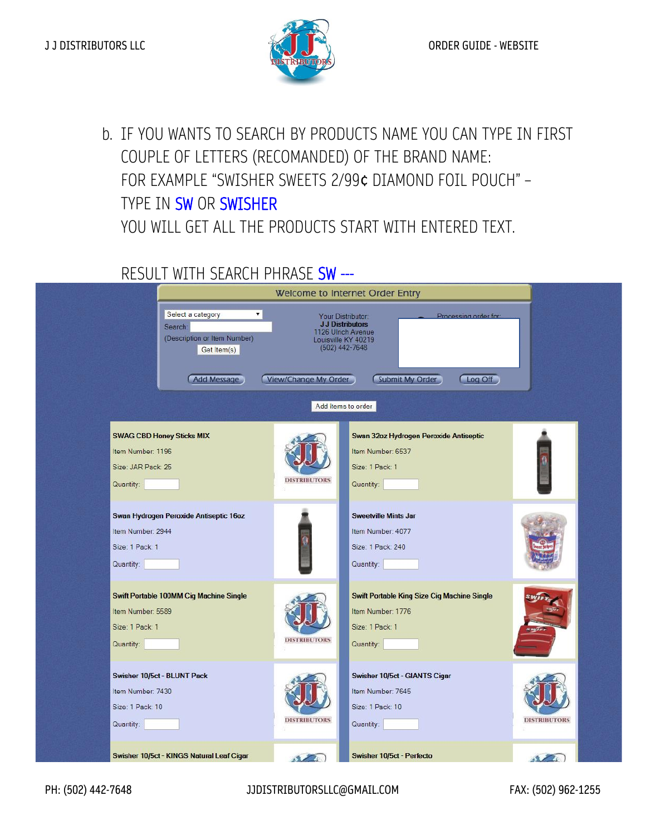

b. IF YOU WANTS TO SEARCH BY PRODUCTS NAME YOU CAN TYPE IN FIRST COUPLE OF LETTERS (RECOMANDED) OF THE BRAND NAME: FOR EXAMPLE "SWISHER SWEETS 2/99¢ DIAMOND FOIL POUCH" – TYPE IN SW OR SWISHER YOU WILL GET ALL THE PRODUCTS START WITH ENTERED TEXT.

#### RESULT WITH SEARCH PHRASE SW ---

|                                                                                                                   |                      | Welcome to Internet Order Entry                                                                                                                                    |                     |
|-------------------------------------------------------------------------------------------------------------------|----------------------|--------------------------------------------------------------------------------------------------------------------------------------------------------------------|---------------------|
| Select a category<br>$\mathbf{v}$<br>Search:<br>(Description or Item Number)<br>Get Item(s)<br><b>Add Message</b> | View/Change My Order | Processing order for:<br>Your Distributor:<br><b>J J Distributors</b><br>1126 Ulrich Avenue<br>Louisville KY 40219<br>(502) 442-7648<br>Submit My Order<br>Log Off |                     |
| <b>SWAG CBD Honey Sticks MIX</b><br>Item Number: 1196<br>Size: JAR Pack: 25<br>Quantity:                          | <b>DISTRIBUTORS</b>  | Add items to order<br>Swan 32oz Hydrogen Peroxide Antiseptic<br>Item Number: 6537<br>Size: 1 Pack: 1<br>Quantity:                                                  |                     |
| Swan Hydrogen Peroxide Antiseptic 16oz<br>Item Number: 2944<br>Size: 1 Pack: 1<br>Quantity:                       |                      | <b>Sweetville Mints Jar</b><br>Item Number: 4077<br>Size: 1 Pack: 240<br>Quantity:                                                                                 |                     |
| Swift Portable 100MM Cig Machine Single<br>Item Number: 5589<br>Size: 1 Pack: 1<br>Quantity:                      | <b>DISTRIBUTORS</b>  | <b>Swift Portable King Size Cig Machine Single</b><br>Item Number: 1776<br>Size: 1 Pack: 1<br>Quantity:                                                            |                     |
| Swisher 10/5ct - BLUNT Pack<br>Item Number: 7430<br>Size: 1 Pack: 10<br>Quantity:                                 | <b>DISTRIBUTORS</b>  | Swisher 10/5ct - GIANTS Cigar<br>Item Number: 7645<br>Size: 1 Pack: 10<br>Quantity:                                                                                | <b>DISTRIBUTORS</b> |
| Swisher 10/5ct - KINGS Natural Leaf Cigar                                                                         | $\sqrt{2}$           | Swisher 10/5ct - Perfecto                                                                                                                                          | $\sqrt{2}$          |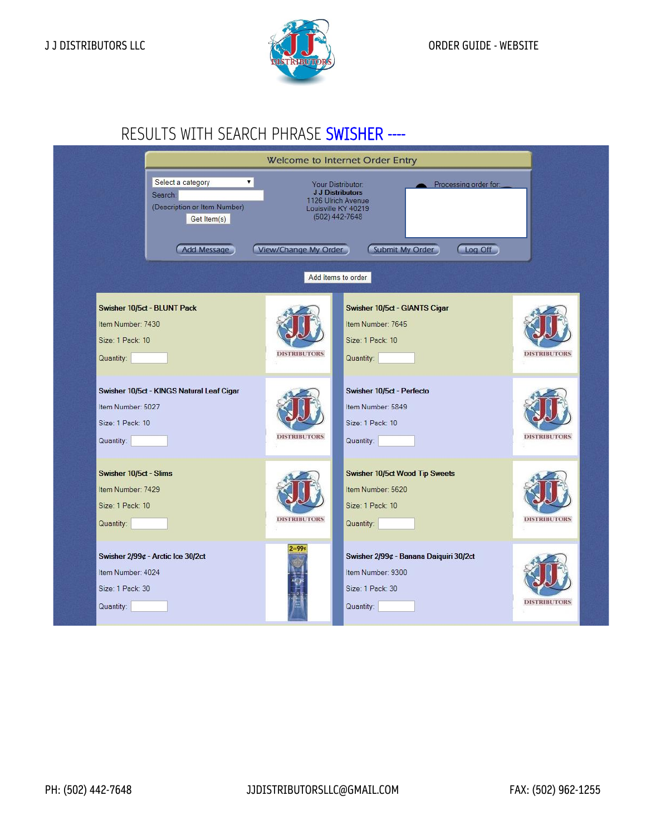

### RESULTS WITH SEARCH PHRASE SWISHER ----

|                                                                              |                                                                                                                    | Welcome to Internet Order Entry |                                                                                                                                                                                            |                     |  |
|------------------------------------------------------------------------------|--------------------------------------------------------------------------------------------------------------------|---------------------------------|--------------------------------------------------------------------------------------------------------------------------------------------------------------------------------------------|---------------------|--|
|                                                                              | Select a category<br>$\blacktriangledown$<br>Search:<br>(Description or Item Number)<br>Get Item(s)<br>Add Message | View/Change My Order            | Your Distributor:<br>Processing order for:<br><b>J J Distributors</b><br>1126 Ulrich Avenue<br>Louisville KY 40219<br>$(502)$ 442-7648<br>Submit My Order<br>Log Off<br>Add items to order |                     |  |
| Item Number: 7430<br>Size: 1 Pack: 10<br>Quantity:                           | Swisher 10/5ct - BLUNT Pack                                                                                        | <b>DISTRIBUTORS</b>             | Swisher 10/5ct - GIANTS Cigar<br>Item Number: 7645<br>Size: 1 Pack: 10<br>Quantity:                                                                                                        | <b>DISTRIBUTORS</b> |  |
| Item Number: 5027<br>Size: 1 Pack: 10<br>Quantity:                           | Swisher 10/5ct - KINGS Natural Leaf Cigar                                                                          | <b>DISTRIBUTORS</b>             | Swisher 10/5ct - Perfecto<br>Item Number: 5849<br>Size: 1 Pack: 10<br>Quantity:                                                                                                            | <b>DISTRIBUTORS</b> |  |
| Swisher 10/5ct - Slims<br>Item Number: 7429<br>Size: 1 Pack: 10<br>Quantity: |                                                                                                                    | <b>DISTRIBUTORS</b>             | <b>Swisher 10/5ct Wood Tip Sweets</b><br>Item Number: 5620<br>Size: 1 Pack: 10<br>Quantity:                                                                                                | <b>DISTRIBUTORS</b> |  |
| Item Number: 4024<br>Size: 1 Pack: 30<br>Quantity:                           | Swisher 2/99¢ - Arctic Ice 30/2ct                                                                                  | $2 - 99$                        | Swisher 2/99¢ - Banana Daiquiri 30/2ct<br>Item Number: 9300<br>Size: 1 Pack: 30<br>Quantity:                                                                                               | <b>DISTRIBUTORS</b> |  |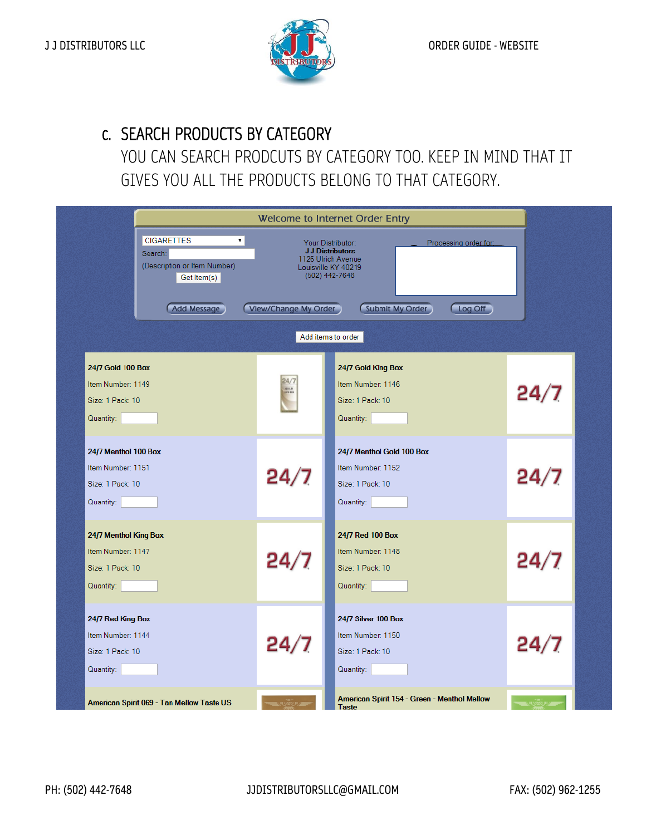

#### c. SEARCH PRODUCTS BY CATEGORY

YOU CAN SEARCH PRODCUTS BY CATEGORY TOO. KEEP IN MIND THAT IT GIVES YOU ALL THE PRODUCTS BELONG TO THAT CATEGORY.

|                                                                                                   |                      | Welcome to Internet Order Entry                                                                                                                                                          |      |  |
|---------------------------------------------------------------------------------------------------|----------------------|------------------------------------------------------------------------------------------------------------------------------------------------------------------------------------------|------|--|
| <b>CIGARETTES</b><br>▼  <br>Search:<br>(Description or Item Number)<br>Get Item(s)<br>Add Message | View/Change My Order | Processing order for:<br>Your Distributor:<br><b>J J Distributors</b><br>1126 Ulrich Avenue<br>Louisville KY 40219<br>(502) 442-7648<br>Log Off<br>Submit My Order<br>Add items to order |      |  |
| 24/7 Gold 100 Box<br>Item Number: 1149<br>Size: 1 Pack: 10<br>Quantity:                           | 24/7<br>-            | 24/7 Gold King Box<br>Item Number: 1146<br>Size: 1 Pack: 10<br>Quantity:                                                                                                                 | 24/7 |  |
| 24/7 Menthol 100 Box<br>Item Number: 1151<br>Size: 1 Pack: 10<br>Quantity:                        | 24/7                 | 24/7 Menthol Gold 100 Box<br>Item Number: 1152<br>Size: 1 Pack: 10<br>Quantity:                                                                                                          | 24/7 |  |
| 24/7 Menthol King Box<br>Item Number: 1147<br>Size: 1 Pack: 10<br>Quantity:                       | 24/7                 | 24/7 Red 100 Box<br>Item Number: 1148<br>Size: 1 Pack: 10<br>Quantity:                                                                                                                   | 24/7 |  |
| 24/7 Red King Box<br>Item Number: 1144<br>Size: 1 Pack: 10<br>Quantity:                           | 24/7                 | 24/7 Silver 100 Box<br>Item Number: 1150<br>Size: 1 Pack: 10<br>Quantity:                                                                                                                | 24/7 |  |
| American Spirit 069 - Tan Mellow Taste US                                                         |                      | American Spirit 154 - Green - Menthol Mellow<br><b>Taste</b>                                                                                                                             |      |  |